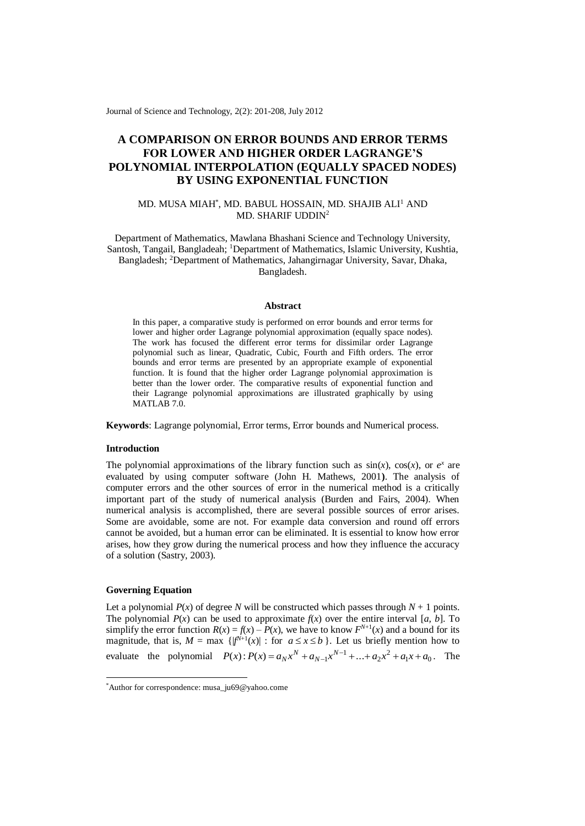Journal of Science and Technology, 2(2): 201-208, July 2012

# **A COMPARISON ON ERROR BOUNDS AND ERROR TERMS FOR LOWER AND HIGHER ORDER LAGRANGE'S POLYNOMIAL INTERPOLATION (EQUALLY SPACED NODES) BY USING EXPONENTIAL FUNCTION**

# MD. MUSA MIAH\* , MD. BABUL HOSSAIN, MD. SHAJIB ALI<sup>1</sup> AND MD. SHARIF UDDIN<sup>2</sup>

Department of Mathematics, Mawlana Bhashani Science and Technology University, Santosh, Tangail, Bangladeah; <sup>1</sup>Department of Mathematics, Islamic University, Kushtia, Bangladesh; <sup>2</sup>Department of Mathematics, Jahangirnagar University, Savar, Dhaka, Bangladesh.

#### **Abstract**

In this paper, a comparative study is performed on error bounds and error terms for lower and higher order Lagrange polynomial approximation (equally space nodes). The work has focused the different error terms for dissimilar order Lagrange polynomial such as linear, Quadratic, Cubic, Fourth and Fifth orders. The error bounds and error terms are presented by an appropriate example of exponential function. It is found that the higher order Lagrange polynomial approximation is better than the lower order. The comparative results of exponential function and their Lagrange polynomial approximations are illustrated graphically by using MATLAB 7.0.

**Keywords**: Lagrange polynomial, Error terms, Error bounds and Numerical process.

#### **Introduction**

The polynomial approximations of the library function such as  $sin(x)$ ,  $cos(x)$ , or  $e^x$  are evaluated by using computer software (John H. Mathews, 2001**)**. The analysis of computer errors and the other sources of error in the numerical method is a critically important part of the study of numerical analysis (Burden and Fairs, 2004). When numerical analysis is accomplished, there are several possible sources of error arises. Some are avoidable, some are not. For example data conversion and round off errors cannot be avoided, but a human error can be eliminated. It is essential to know how error arises, how they grow during the numerical process and how they influence the accuracy of a solution (Sastry, 2003).

# **Governing Equation**

-

Let a polynomial  $P(x)$  of degree *N* will be constructed which passes through  $N + 1$  points. The polynomial  $P(x)$  can be used to approximate  $f(x)$  over the entire interval [*a*, *b*]. To simplify the error function  $R(x) = f(x) - P(x)$ , we have to know  $F^{N+1}(x)$  and a bound for its magnitude, that is,  $M = \max \{ |f^{N+1}(x)| : \text{for } a \le x \le b \}$ . Let us briefly mention how to evaluate the polynomial  $P(x)$ :  $P(x) = a_N x^N + a_{N-1} x^{N-1} + ... + a_2 x^2 + a_1 x + a_0$ . The

<sup>\*</sup>Author for correspondence: musa\_ju69@yahoo.come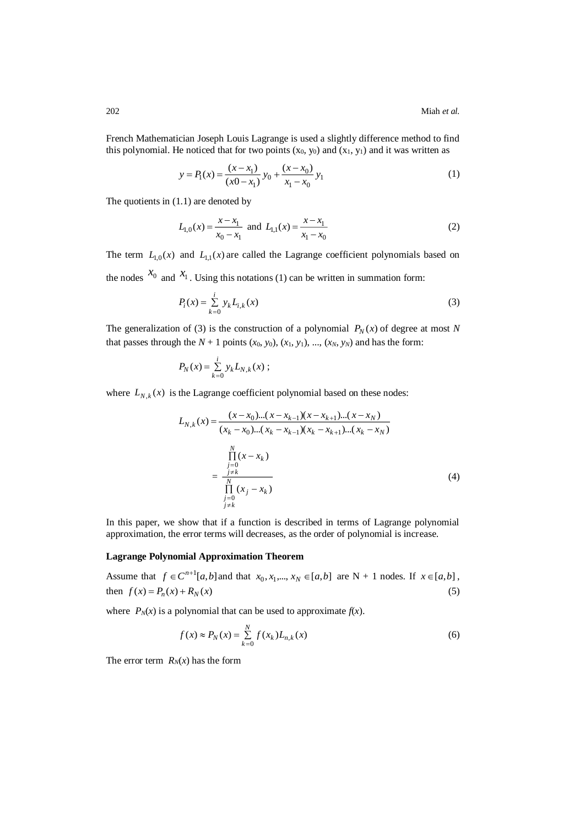French Mathematician Joseph Louis Lagrange is used a slightly difference method to find this polynomial. He noticed that for two points  $(x_0, y_0)$  and  $(x_1, y_1)$  and it was written as

$$
y = P_1(x) = \frac{(x - x_1)}{(x0 - x_1)} y_0 + \frac{(x - x_0)}{x_1 - x_0} y_1
$$
 (1)

The quotients in (1.1) are denoted by

$$
L_{1,0}(x) = \frac{x - x_1}{x_0 - x_1} \text{ and } L_{1,1}(x) = \frac{x - x_1}{x_1 - x_0} \tag{2}
$$

The term  $L_{1,0}(x)$  and  $L_{1,1}(x)$  are called the Lagrange coefficient polynomials based on the nodes  $x_0$  and  $x_1$ . Using this notations (1) can be written in summation form:

$$
P_i(x) = \sum_{k=0}^{i} y_k L_{i,k}(x)
$$
 (3)

The generalization of (3) is the construction of a polynomial  $P_N(x)$  of degree at most N that passes through the  $N + 1$  points  $(x_0, y_0)$ ,  $(x_1, y_1)$ , ...,  $(x_N, y_N)$  and has the form:

$$
P_N(x) = \sum_{k=0}^i y_k L_{N,k}(x) ;
$$

where  $L_{N,k}(x)$  is the Lagrange coefficient polynomial based on these nodes:

$$
L_{N,k}(x) = \frac{(x - x_0)...(x - x_{k-1})(x - x_{k+1})...(x - x_N)}{(x_k - x_0)...(x_k - x_{k-1})(x_k - x_{k+1})...(x_k - x_N)}
$$
  
= 
$$
\frac{\prod_{\substack{j=0 \ j \neq k}}^{N} (x - x_k)}{\prod_{\substack{j=0 \ j \neq k}}^{N} (x_j - x_k)}
$$
(4)

In this paper, we show that if a function is described in terms of Lagrange polynomial approximation, the error terms will decreases, as the order of polynomial is increase.

### **Lagrange Polynomial Approximation Theorem**

Assume that  $f \in C^{n+1}[a,b]$  and that  $x_0, x_1, \ldots, x_N \in [a,b]$  are N + 1 nodes. If  $x \in [a,b]$ , then  $f(x) = P_n(x) + R_N(x)$ (5)

where  $P_N(x)$  is a polynomial that can be used to approximate  $f(x)$ .

$$
f(x) \approx P_N(x) = \sum_{k=0}^{N} f(x_k) L_{n,k}(x)
$$
\n(6)

The error term  $R_N(x)$  has the form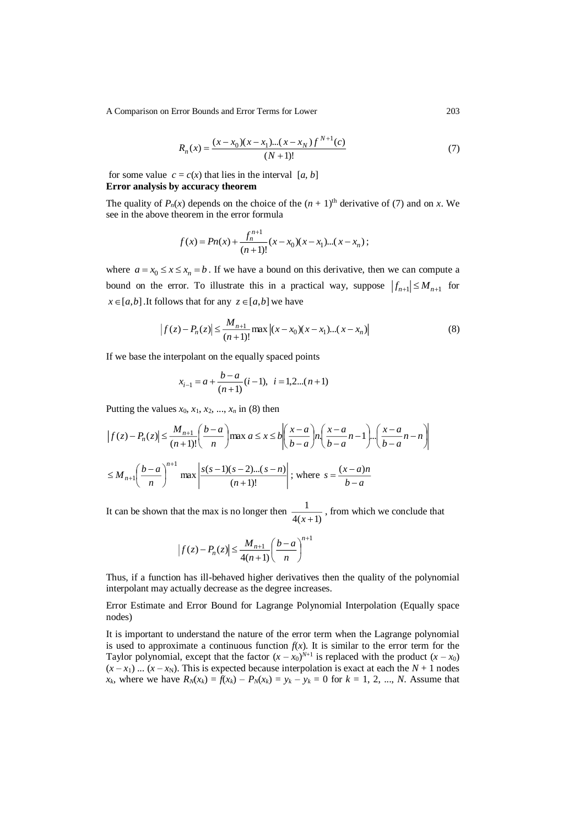A Comparison on Error Bounds and Error Terms for Lower 203

$$
R_n(x) = \frac{(x - x_0)(x - x_1)...(x - x_N)f^{N+1}(c)}{(N+1)!}
$$
\n(7)

for some value  $c = c(x)$  that lies in the interval [*a, b*] **Error analysis by accuracy theorem**

The quality of  $P_n(x)$  depends on the choice of the  $(n + 1)$ <sup>th</sup> derivative of (7) and on *x*. We see in the above theorem in the error formula

$$
f(x) = Pn(x) + \frac{f_n^{n+1}}{(n+1)!}(x - x_0)(x - x_1)...(x - x_n);
$$

where  $a = x_0 \le x \le x_n = b$ . If we have a bound on this derivative, then we can compute a bound on the error. To illustrate this in a practical way, suppose  $|f_{n+1}| \le M_{n+1}$  for  $x \in [a,b]$ . It follows that for any  $z \in [a,b]$  we have

$$
\left| f(z) - P_n(z) \right| \le \frac{M_{n+1}}{(n+1)!} \max \left| (x - x_0)(x - x_1)...(x - x_n) \right| \tag{8}
$$

If we base the interpolant on the equally spaced points

$$
x_{i-1} = a + \frac{b-a}{(n+1)}(i-1), \ \ i = 1, 2 \dots (n+1)
$$

Putting the values  $x_0$ ,  $x_1$ ,  $x_2$ , ...,  $x_n$  in (8) then

$$
\left| f(z) - P_n(z) \right| \le \frac{M_{n+1}}{(n+1)!} \left( \frac{b-a}{n} \right) \max a \le x \le b \left| \left( \frac{x-a}{b-a} \right) n \left( \frac{x-a}{b-a} \right) \dots \left( \frac{x-a}{b-a} \right) \dots \left( \frac{x-a}{b-a} \right) \right|
$$
  

$$
\le M_{n+1} \left( \frac{b-a}{n} \right)^{n+1} \max \left| \frac{s(s-1)(s-2)\dots(s-n)}{(n+1)!} \right|; \text{ where } s = \frac{(x-a)n}{b-a}
$$

It can be shown that the max is no longer then  $\frac{1}{4(x+1)}$ 1  $\frac{1}{x+1}$ , from which we conclude that

$$
\left|f(z) - P_n(z)\right| \le \frac{M_{n+1}}{4(n+1)} \left(\frac{b-a}{n}\right)^{n+1}
$$

Thus, if a function has ill-behaved higher derivatives then the quality of the polynomial interpolant may actually decrease as the degree increases.

Error Estimate and Error Bound for Lagrange Polynomial Interpolation (Equally space nodes)

It is important to understand the nature of the error term when the Lagrange polynomial is used to approximate a continuous function  $f(x)$ . It is similar to the error term for the Taylor polynomial, except that the factor  $(x - x_0)^{N+1}$  is replaced with the product  $(x - x_0)$  $(x - x_1)$  ...  $(x - x_N)$ . This is expected because interpolation is exact at each the  $N + 1$  nodes *x<sub>k</sub>*, where we have  $R_N(x_k) = f(x_k) - P_N(x_k) = y_k - y_k = 0$  for  $k = 1, 2, ..., N$ . Assume that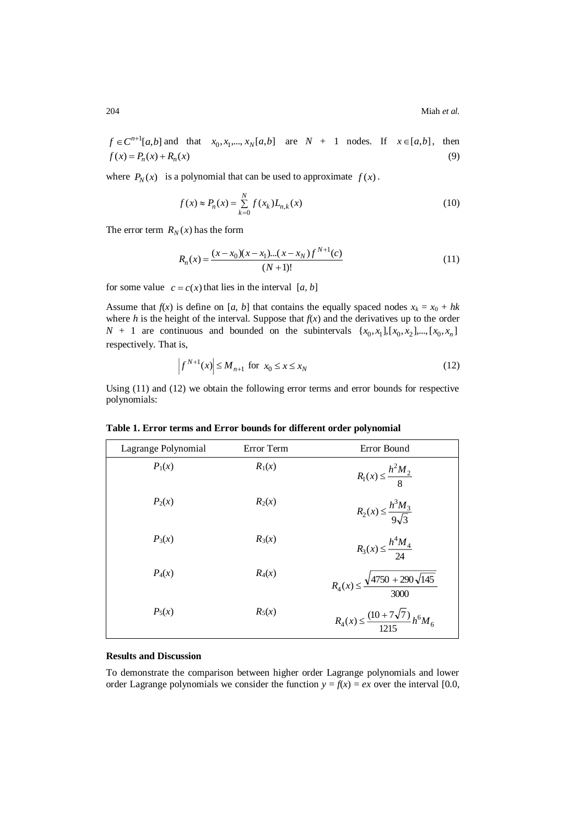$f \in C^{n+1}[a,b]$  and that  $x_0, x_1,..., x_N[a,b]$  are  $N + 1$  nodes. If  $x \in [a,b]$ , then  $f(x) = P_n(x) + R_n(x)$ (9)

where  $P_N(x)$  is a polynomial that can be used to approximate  $f(x)$ .

$$
f(x) \approx P_n(x) = \sum_{k=0}^{N} f(x_k) L_{n,k}(x)
$$
\n(10)

The error term  $R_N(x)$  has the form

$$
R_n(x) = \frac{(x - x_0)(x - x_1)...(x - x_N)f^{N+1}(c)}{(N+1)!}
$$
\n(11)

for some value  $c = c(x)$  that lies in the interval [a, b]

Assume that  $f(x)$  is define on [*a, b*] that contains the equally spaced nodes  $x_k = x_0 + hk$ where *h* is the height of the interval. Suppose that  $f(x)$  and the derivatives up to the order  $N + 1$  are continuous and bounded on the subintervals  $\{x_0, x_1\}$ ,  $[x_0, x_2]$ ,  $\ldots$ ,  $[x_0, x_n]$ respectively. That is,

$$
\left|f^{N+1}(x)\right| \le M_{n+1} \text{ for } x_0 \le x \le x_N \tag{12}
$$

Using (11) and (12) we obtain the following error terms and error bounds for respective polynomials:

| Lagrange Polynomial | Error Term | Error Bound                                           |
|---------------------|------------|-------------------------------------------------------|
| $P_1(x)$            | $R_1(x)$   | $R_1(x) \leq \frac{h^2 M_2}{8}$                       |
| $P_2(x)$            | $R_2(x)$   | $R_2(x) \leq \frac{h^3 M_3}{9\sqrt{2}}$               |
| $P_3(x)$            | $R_3(x)$   | $R_3(x) \leq \frac{h^4 M_4}{24}$                      |
| $P_4(x)$            | $R_4(x)$   | $R_4(x) \le \frac{\sqrt{4750 + 290\sqrt{145}}}{3000}$ |
| $P_5(x)$            | $R_5(x)$   | $R_4(x) \leq \frac{(10+7\sqrt{7})}{1215} h^6 M_6$     |

**Table 1. Error terms and Error bounds for different order polynomial**

# **Results and Discussion**

To demonstrate the comparison between higher order Lagrange polynomials and lower order Lagrange polynomials we consider the function  $y = f(x) = ex$  over the interval [0.0,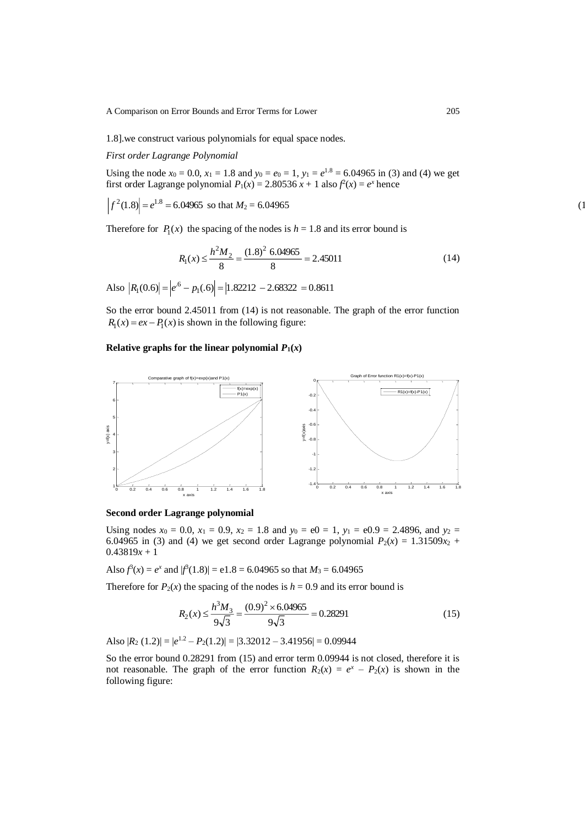A Comparison on Error Bounds and Error Terms for Lower 205

1.8].we construct various polynomials for equal space nodes.

*First order Lagrange Polynomial* 

Using the node  $x_0 = 0.0$ ,  $x_1 = 1.8$  and  $y_0 = e_0 = 1$ ,  $y_1 = e^{1.8} = 6.04965$  in (3) and (4) we get first order Lagrange polynomial  $P_1(x) = 2.80536 x + 1$  also  $f^2(x) = e^x$  hence

$$
\left| f^2(1.8) \right| = e^{1.8} = 6.04965 \text{ so that } M_2 = 6.04965 \tag{1}
$$

Therefore for  $P_1(x)$  the spacing of the nodes is  $h = 1.8$  and its error bound is

$$
R_1(x) \le \frac{h^2 M_2}{8} = \frac{(1.8)^2 \cdot 6.04965}{8} = 2.45011\tag{14}
$$

Also  $|R_1(0.6)| = |e^{.6} - p_1(.6)| = |1.82212 - 2.68322 = 0.8611$ 

So the error bound 2.45011 from (14) is not reasonable. The graph of the error function  $R_1(x) = ex - P_1(x)$  is shown in the following figure:

# **Relative graphs for the linear polynomial**  $P_1(x)$



### **Second order Lagrange polynomial**

Using nodes  $x_0 = 0.0$ ,  $x_1 = 0.9$ ,  $x_2 = 1.8$  and  $y_0 = e0 = 1$ ,  $y_1 = e0.9 = 2.4896$ , and  $y_2 = 1.8$ 6.04965 in (3) and (4) we get second order Lagrange polynomial  $P_2(x) = 1.31509x_2 +$  $0.43819x + 1$ 

Also  $f^3(x) = e^x$  and  $|f^3(1.8)| = e^x - 6.04965$  so that  $M_3 = 6.04965$ 

Therefore for  $P_2(x)$  the spacing of the nodes is  $h = 0.9$  and its error bound is

$$
R_2(x) \le \frac{h^3 M_3}{9\sqrt{3}} = \frac{(0.9)^2 \times 6.04965}{9\sqrt{3}} = 0.28291\tag{15}
$$

Also  $|R_2(1.2)| = |e^{1.2} - P_2(1.2)| = |3.32012 - 3.41956| = 0.09944$ 

So the error bound 0.28291 from (15) and error term 0.09944 is not closed, therefore it is not reasonable. The graph of the error function  $R_2(x) = e^x - P_2(x)$  is shown in the following figure: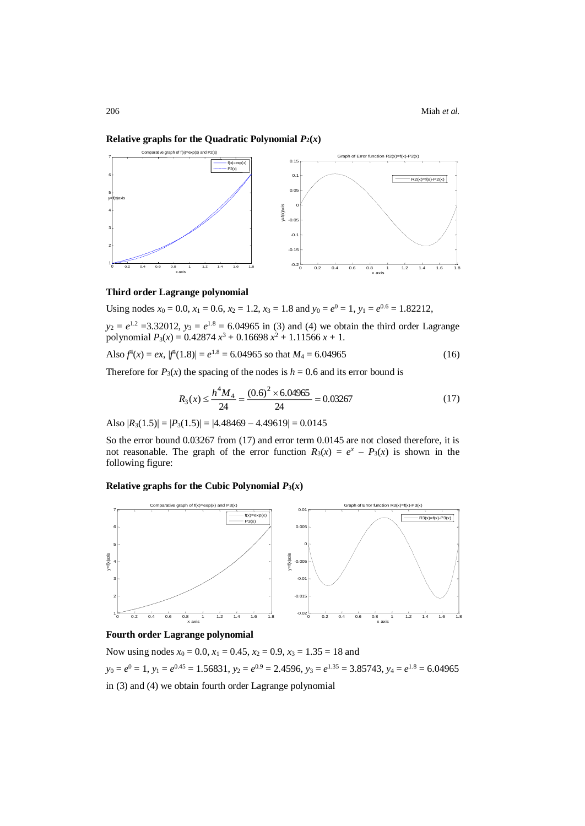### **Relative graphs for the Quadratic Polynomial**  $P_2(x)$



#### **Third order Lagrange polynomial**

Using nodes  $x_0 = 0.0$ ,  $x_1 = 0.6$ ,  $x_2 = 1.2$ ,  $x_3 = 1.8$  and  $y_0 = e^0 = 1$ ,  $y_1 = e^{0.6} = 1.82212$ ,

 $y_2 = e^{1.2} = 3.32012$ ,  $y_3 = e^{1.8} = 6.04965$  in (3) and (4) we obtain the third order Lagrange polynomial  $P_3(x) = 0.42874 x^3 + 0.16698 x^2 + 1.11566 x + 1.$ 

Also 
$$
f^4(x) = ex
$$
,  $|f^4(1.8)| = e^{1.8} = 6.04965$  so that  $M_4 = 6.04965$  (16)

Therefore for  $P_3(x)$  the spacing of the nodes is  $h = 0.6$  and its error bound is

$$
R_3(x) \le \frac{h^4 M_4}{24} = \frac{(0.6)^2 \times 6.04965}{24} = 0.03267\tag{17}
$$

Also  $|R_3(1.5)| = |P_3(1.5)| = |4.48469 - 4.49619| = 0.0145$ 

So the error bound 0.03267 from (17) and error term 0.0145 are not closed therefore, it is not reasonable. The graph of the error function  $R_3(x) = e^x - P_3(x)$  is shown in the following figure:

**Relative graphs for the Cubic Polynomial**  $P_3(x)$ 



# **Fourth order Lagrange polynomial**

Now using nodes  $x_0 = 0.0$ ,  $x_1 = 0.45$ ,  $x_2 = 0.9$ ,  $x_3 = 1.35 = 18$  and  $y_0 = e^0 = 1$ ,  $y_1 = e^{0.45} = 1.56831$ ,  $y_2 = e^{0.9} = 2.4596$ ,  $y_3 = e^{1.35} = 3.85743$ ,  $y_4 = e^{1.8} = 6.04965$ in (3) and (4) we obtain fourth order Lagrange polynomial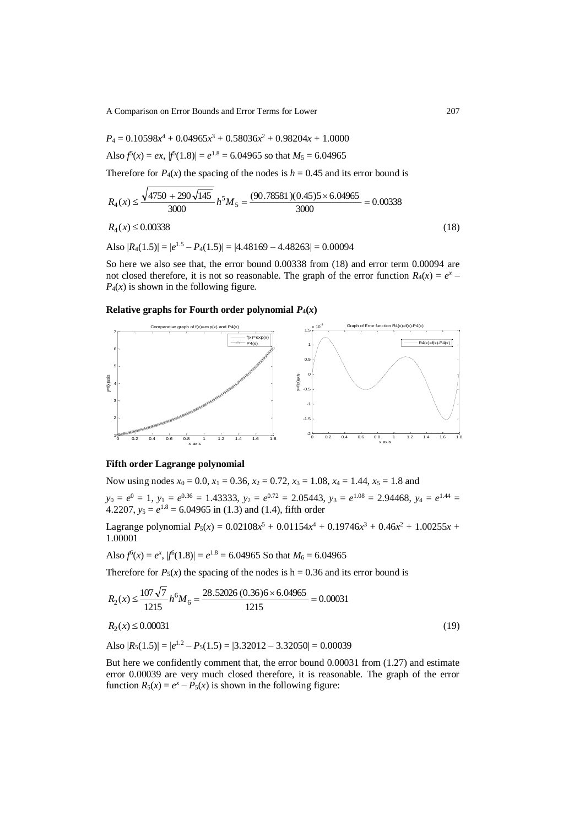A Comparison on Error Bounds and Error Terms for Lower 207

$$
P_4 = 0.10598x^4 + 0.04965x^3 + 0.58036x^2 + 0.98204x + 1.0000
$$

Also 
$$
f(x) = ex
$$
,  $|f(1.8)| = e^{1.8} = 6.04965$  so that  $M_5 = 6.04965$ 

Therefore for  $P_4(x)$  the spacing of the nodes is  $h = 0.45$  and its error bound is

$$
R_4(x) \le \frac{\sqrt{4750 + 290\sqrt{145}}}{3000} h^5 M_5 = \frac{(90.78581)(0.45)5 \times 6.04965}{3000} = 0.00338
$$
  

$$
R_4(x) \le 0.00338
$$
 (18)

Also  $|R_4(1.5)| = |e^{1.5} - P_4(1.5)| = |4.48169 - 4.48263| = 0.00094$ 

So here we also see that, the error bound 0.00338 from (18) and error term 0.00094 are not closed therefore, it is not so reasonable. The graph of the error function  $R_4(x) = e^x P_4(x)$  is shown in the following figure.

# **Relative graphs for Fourth order polynomial**  $P_4(x)$



# **Fifth order Lagrange polynomial**

Now using nodes  $x_0 = 0.0$ ,  $x_1 = 0.36$ ,  $x_2 = 0.72$ ,  $x_3 = 1.08$ ,  $x_4 = 1.44$ ,  $x_5 = 1.8$  and

 $y_0 = e^0 = 1$ ,  $y_1 = e^{0.36} = 1.43333$ ,  $y_2 = e^{0.72} = 2.05443$ ,  $y_3 = e^{1.08} = 2.94468$ ,  $y_4 = e^{1.44} =$ 4.2207,  $y_5 = e^{1.8} = 6.04965$  in (1.3) and (1.4), fifth order

Lagrange polynomial  $P_5(x) = 0.02108x^5 + 0.01154x^4 + 0.19746x^3 + 0.46x^2 + 1.00255x +$ 1.00001

Also 
$$
f^6(x) = e^x
$$
,  $|f^6(1.8)| = e^{1.8} = 6.04965$  So that  $M_6 = 6.04965$ 

Therefore for  $P_5(x)$  the spacing of the nodes is h = 0.36 and its error bound is

$$
R_2(x) \le \frac{107\sqrt{7}}{1215} h^6 M_6 = \frac{28.52026 (0.36)6 \times 6.04965}{1215} = 0.00031
$$
  
\n
$$
R_2(x) \le 0.00031
$$
 (19)

Also  $|R_5(1.5)| = |e^{1.2} - P_5(1.5)| = |3.32012 - 3.32050| = 0.00039$ 

But here we confidently comment that, the error bound 0.00031 from (1.27) and estimate error 0.00039 are very much closed therefore, it is reasonable. The graph of the error function  $R_5(x) = e^x - P_5(x)$  is shown in the following figure: